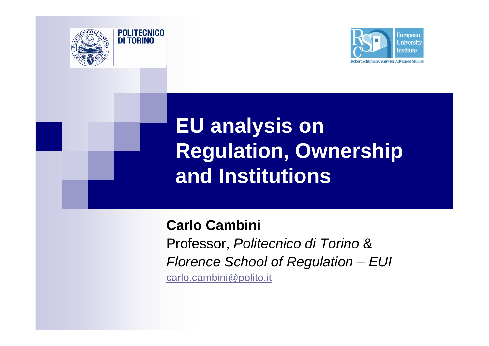



# **EU analysis on Regulation, Ownership and Institutions**

**Carlo Cambini** Professor, *Politecnico di Torino* & *Florence School of Regulation – EUI* carlo.cambini@polito.it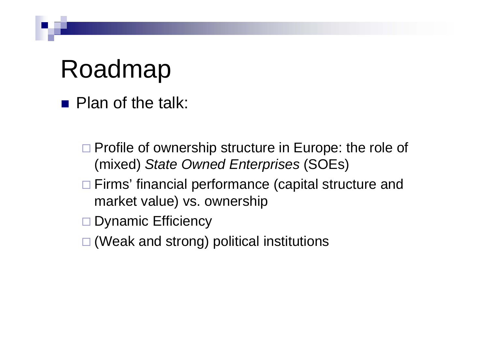# Roadmap

**Plan of the talk:** 

□ Profile of ownership structure in Europe: the role of (mixed) *State Owned Enterprises* (SOEs)

□ Firms' financial performance (capital structure and market value) vs. ownership

Dynamic Efficiency

□ (Weak and strong) political institutions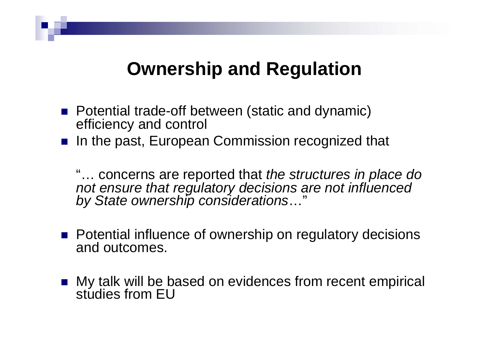#### **Ownership and Regulation**

- **Potential trade-off between (static and dynamic)** efficiency and control
- **n** In the past, European Commission recognized that

"… concerns are reported that *the structures in place do not ensure that regulatory decisions are not influenced by State ownership considerations*…"

- **Potential influence of ownership on regulatory decisions**<br>and outcomes.
- My talk will be based on evidences from recent empirical studies from EU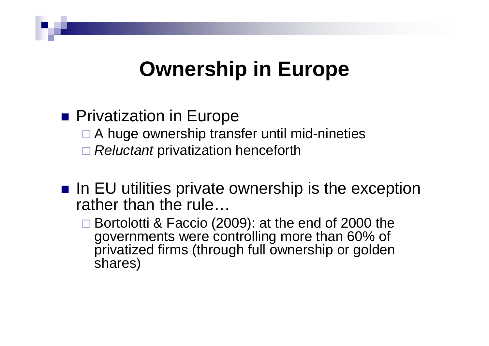## **Ownership** in Europe

#### **Privatization in Europe**

- □ A huge ownership transfer until mid-nineties
- $\Box$ *Reluctant* privatization henceforth
- $\blacksquare$  In EU utilities private ownership is the exception rather than the rule…
	- Bortolotti & Faccio (2009): at the end of 2000 the governments were controlling more than 60% of privatized firms (through full ownership or golden shares)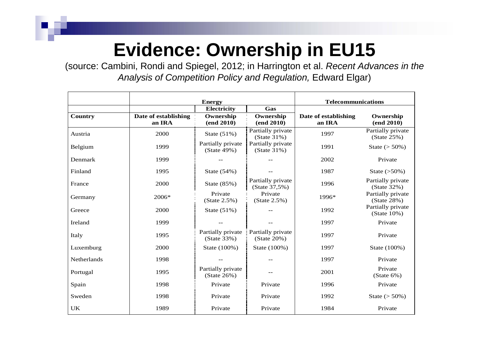### **Evidence: Ownership in EU15**

(source: Cambini, Rondi and Spiegel, 2012; in Harrington et al. *Recent Advances in the Analysis of Competition Policy and Regulation,* Edward Elgar)

|             |                                | <b>Energy</b>                       | <b>Telecommunications</b>           |                                |                                     |
|-------------|--------------------------------|-------------------------------------|-------------------------------------|--------------------------------|-------------------------------------|
|             |                                | Electricity                         | Gas                                 |                                |                                     |
| Country     | Date of establishing<br>an IRA | Ownership<br>(end 2010)             | Ownership<br>(end 2010)             | Date of establishing<br>an IRA | Ownership<br>(end 2010)             |
| Austria     | 2000                           | State $(51\%)$                      | Partially private<br>(State 31%)    | 1997                           | Partially private<br>$(State 25\%)$ |
| Belgium     | 1999                           | Partially private<br>(State 49%)    | Partially private<br>(State 31%)    | 1991                           | State $(> 50\%)$                    |
| Denmark     | 1999                           |                                     |                                     | 2002                           | Private                             |
| Finland     | 1995                           | State (54%)                         |                                     | 1987                           | State $(>50\%)$                     |
| France      | 2000                           | State (85%)                         | Partially private<br>(State 37,5%)  | 1996                           | Partially private<br>(State 32%)    |
| Germany     | 2006*                          | Private<br>$(State 2.5\%)$          | Private<br>$(State 2.5\%)$          | 1996*                          | Partially private<br>(State 28%)    |
| Greece      | 2000                           | State $(51\%)$                      |                                     | 1992                           | Partially private<br>$(State 10\%)$ |
| Ireland     | 1999                           |                                     |                                     | 1997                           | Private                             |
| Italy       | 1995                           | Partially private<br>(State 33%)    | Partially private<br>$(State 20\%)$ | 1997                           | Private                             |
| Luxemburg   | 2000                           | State (100%)                        | State (100%)                        | 1997                           | State (100%)                        |
| Netherlands | 1998                           |                                     |                                     | 1997                           | Private                             |
| Portugal    | 1995                           | Partially private<br>$(State 26\%)$ |                                     | 2001                           | Private<br>$(State 6\%)$            |
| Spain       | 1998                           | Private                             | Private                             | 1996                           | Private                             |
| Sweden      | 1998                           | Private                             | Private                             | 1992                           | State ( $> 50\%$ )                  |
| UK          | 1989                           | Private                             | Private                             | 1984                           | Private                             |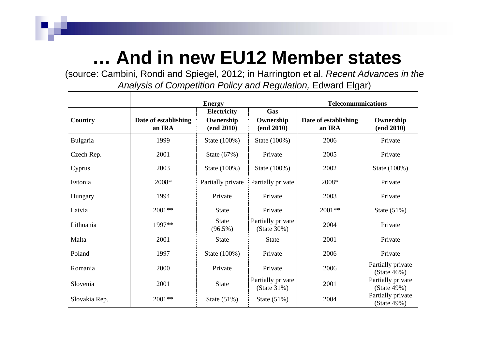#### **… And in new EU12 Member states**

(source: Cambini, Rondi and Spiegel, 2012; in Harrington et al. *Recent Advances in the Analysis of Competition Policy and Regulation,* Edward Elgar)

|                |                                | <b>Energy</b>              |                                  | <b>Telecommunications</b>      |                                     |  |
|----------------|--------------------------------|----------------------------|----------------------------------|--------------------------------|-------------------------------------|--|
|                |                                | <b>Electricity</b>         | Gas                              |                                |                                     |  |
| <b>Country</b> | Date of establishing<br>an IRA | Ownership<br>(end 2010)    | Ownership<br>(end 2010)          | Date of establishing<br>an IRA | Ownership<br>(end 2010)             |  |
| Bulgaria       | 1999                           | State (100%)               | State (100%)                     | 2006                           | Private                             |  |
| Czech Rep.     | 2001                           | State $(67%)$              | Private                          | 2005                           | Private                             |  |
| Cyprus         | 2003                           | State (100%)               | State (100%)                     | 2002                           | State (100%)                        |  |
| Estonia        | 2008*                          | Partially private          | Partially private                | 2008*                          | Private                             |  |
| Hungary        | 1994                           | Private                    | Private                          | 2003                           | Private                             |  |
| Latvia         | 2001**                         | <b>State</b>               | Private                          | 2001**                         | State $(51\%)$                      |  |
| Lithuania      | 1997**                         | <b>State</b><br>$(96.5\%)$ | Partially private<br>(State 30%) | 2004                           | Private                             |  |
| Malta          | 2001                           | <b>State</b>               | <b>State</b>                     | 2001                           | Private                             |  |
| Poland         | 1997                           | State (100%)               | Private                          | 2006                           | Private                             |  |
| Romania        | 2000                           | Private                    | Private                          | 2006                           | Partially private<br>$(State 46\%)$ |  |
| Slovenia       | 2001                           | <b>State</b>               | Partially private<br>(State 31%) | 2001                           | Partially private<br>(State 49%)    |  |
| Slovakia Rep.  | $2001**$                       | State $(51\%)$             | State (51%)                      | 2004                           | Partially private<br>(State 49%)    |  |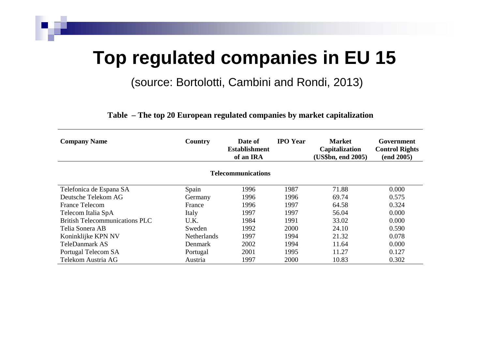#### **Top regulated companies in EU 15**

(source: Bortolotti, Cambini and Rondi, 2013)

**Table – The top 20 European regulated companies by market capitalization** 

| <b>Company Name</b>                   | Country            | Date of<br><b>Establishment</b><br>of an IRA | <b>IPO</b> Year | <b>Market</b><br><b>Capitalization</b><br>(US\$bn, end 2005) | Government<br><b>Control Rights</b><br>(end 2005) |
|---------------------------------------|--------------------|----------------------------------------------|-----------------|--------------------------------------------------------------|---------------------------------------------------|
|                                       |                    | <b>Telecommunications</b>                    |                 |                                                              |                                                   |
| Telefonica de Espana SA               | Spain              | 1996                                         | 1987            | 71.88                                                        | 0.000                                             |
| Deutsche Telekom AG                   | Germany            | 1996                                         | 1996            | 69.74                                                        | 0.575                                             |
| France Telecom                        | France             | 1996                                         | 1997            | 64.58                                                        | 0.324                                             |
| Telecom Italia SpA                    | Italy              | 1997                                         | 1997            | 56.04                                                        | 0.000                                             |
| <b>British Telecommunications PLC</b> | U.K.               | 1984                                         | 1991            | 33.02                                                        | 0.000                                             |
| Telia Sonera AB                       | Sweden             | 1992                                         | 2000            | 24.10                                                        | 0.590                                             |
| Koninklijke KPN NV                    | <b>Netherlands</b> | 1997                                         | 1994            | 21.32                                                        | 0.078                                             |
| <b>TeleDanmark AS</b>                 | Denmark            | 2002                                         | 1994            | 11.64                                                        | 0.000                                             |
| Portugal Telecom SA                   | Portugal           | 2001                                         | 1995            | 11.27                                                        | 0.127                                             |
| Telekom Austria AG                    | Austria            | 1997                                         | 2000            | 10.83                                                        | 0.302                                             |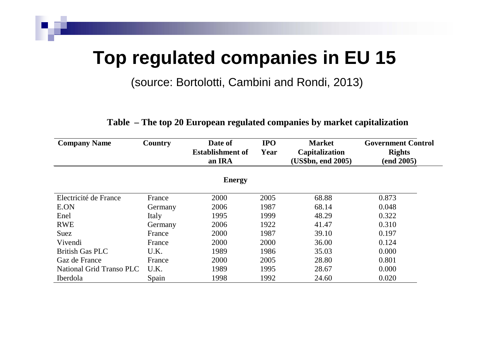#### **Top regulated companies in EU 15**

(source: Bortolotti, Cambini and Rondi, 2013)

| <b>Company Name</b>      | Country | <b>IPO</b><br>Date of<br><b>Establishment of</b><br>Year<br>an IRA |      | <b>Market</b><br><b>Capitalization</b><br>(US\$bn, end 2005) | <b>Government Control</b><br><b>Rights</b><br>(end 2005) |
|--------------------------|---------|--------------------------------------------------------------------|------|--------------------------------------------------------------|----------------------------------------------------------|
|                          |         | <b>Energy</b>                                                      |      |                                                              |                                                          |
| Electricité de France    | France  | 2000                                                               | 2005 | 68.88                                                        | 0.873                                                    |
| E.ON                     | Germany | 2006                                                               | 1987 | 68.14                                                        | 0.048                                                    |
| Enel                     | Italy   | 1995                                                               | 1999 | 48.29                                                        | 0.322                                                    |
| <b>RWE</b>               | Germany | 2006                                                               | 1922 | 41.47                                                        | 0.310                                                    |
| Suez                     | France  | 2000                                                               | 1987 | 39.10                                                        | 0.197                                                    |
| Vivendi                  | France  | 2000                                                               | 2000 | 36.00                                                        | 0.124                                                    |
| <b>British Gas PLC</b>   | U.K.    | 1989                                                               | 1986 | 35.03                                                        | 0.000                                                    |
| Gaz de France            | France  | 2000                                                               | 2005 | 28.80                                                        | 0.801                                                    |
| National Grid Transo PLC | U.K.    | 1989                                                               | 1995 | 28.67                                                        | 0.000                                                    |
| Iberdola                 | Spain   | 1998                                                               | 1992 | 24.60                                                        | 0.020                                                    |

#### **Table – The top 20 European regulated companies by market capitalization**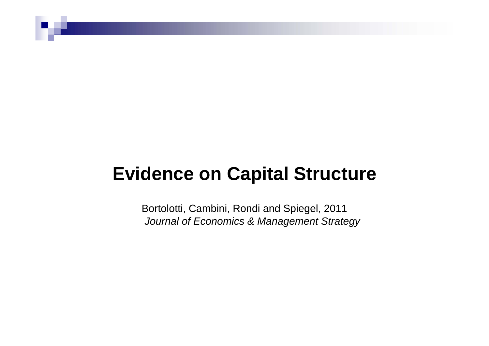#### **Evidence on Capital Structure**

Bortolotti, Cambini, Rondi and Spiegel, 2011 *Journal of Economics & Management Strategy*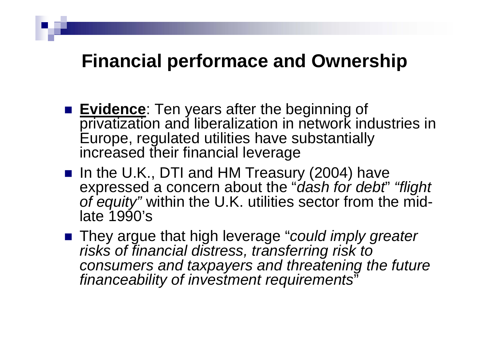#### **Financial performace and Ownership**

- **Evidence**: Ten years after the beginning of privatization and liberalization in network industries in Europe, regulated utilities have substantially increased their financial leverage
- In the U.K., DTI and HM Treasury (2004) have expressed a concern about the "*dash for debt*" *"flight of equity"* within the U.K. utilities sector from the midlate 1990's
- They argue that high leverage "*could imply greater risks of financial distress, transferring risk to consumers and taxpayers and threatening the future financeability of investment requirements* "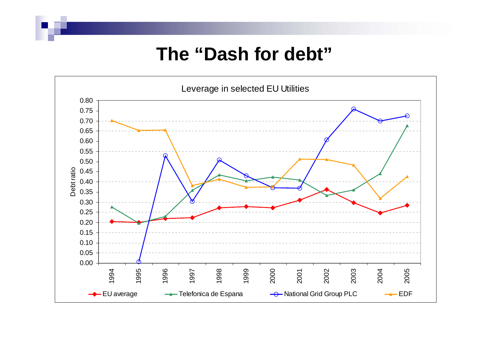#### **The "Dash for debt"**

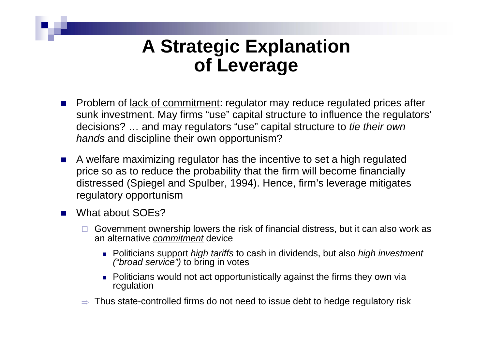#### **A Strategic Explanation of Leverage**

- **Problem of lack of commitment: regulator may reduce regulated prices after** sunk investment. May firms "use" capital structure to influence the regulators' decisions? … and may regulators "use" capital structure to *tie their own hands* and discipline their own opportunism?
- A welfare maximizing regulator has the incentive to set a high regulated price so as to reduce the probability that the firm will become financially distressed (Spiegel and Spulber, 1994). Hence, firm's leverage mitigates regulatory opportunism
- $\mathcal{L}_{\mathcal{A}}$  What about SOEs?
	- $\Box$  Government ownership lowers the risk of financial distress, but it can also work as an alternative *commitment* device
		- Politicians support *high tariffs* to cash in dividends, but also *high investment ("broad service")* to bring in votes
		- **Politicians would not act opportunistically against the firms they own via** regulation
	- $\Rightarrow$  Thus state-controlled firms do not need to issue debt to hedge regulatory risk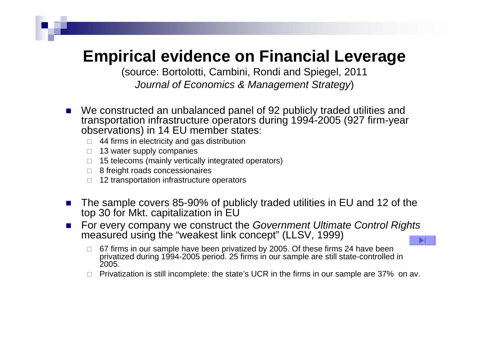#### **Empirical evidence on Financial Leverage**

(source: Bortolotti, Cambini, Rondi and Spiegel, 2011 *Journal of Economics & Management Strategy*)

- П We constructed an unbalanced panel of 92 publicly traded utilities and transportation infrastructure operators during 1994-2005 (927 firm-year observations) in 14 EU member states:
	- □ 44 firms in electricity and gas distribution
	- □ 13 water supply companies
	- □ 15 telecoms (mainly vertically integrated operators)
	- □ 8 freight roads concessionaires
	- □ 12 transportation infrastructure operators
- П The sample covers 85-90% of publicly traded utilities in EU and 12 of the top 30 for Mkt. capitalization in EU
- $\mathcal{L}_{\text{max}}$  For every company we construct the *Government Ultimate Control Rights* measured using the "weakest link concept" (LLSV, 1999)
	- □ 67 firms in our sample have been privatized by 2005. Of these firms 24 have been privatized during 1994-2005 period. 25 firms in our sample are still state-controlled in 2005.
	- $\Box$  Privatization is still incomplete: the state's UCR in the firms in our sample are 37% on av.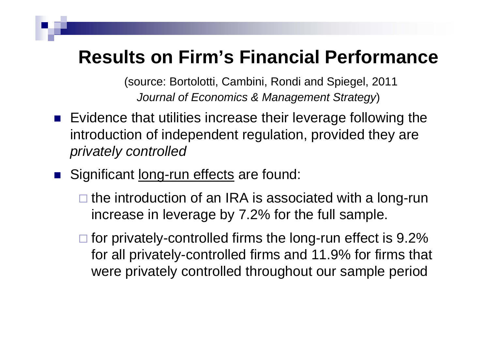#### **Results on Firm's Financial Performance**

(source: Bortolotti, Cambini, Rondi and Spiegel, 2011 *Journal of Economics & Management Strategy*)

- Evidence that utilities increase their leverage following the introduction of independent regulation, provided they are *privately controlled*
- Significant long-run effects are found:
	- □ the introduction of an IRA is associated with a long-run increase in leverage by 7.2% for the full sample.
	- $\square$  for privately-controlled firms the long-run effect is 9.2% for all privately-controlled firms and 11.9% for firms that were privately controlled throughout our sample period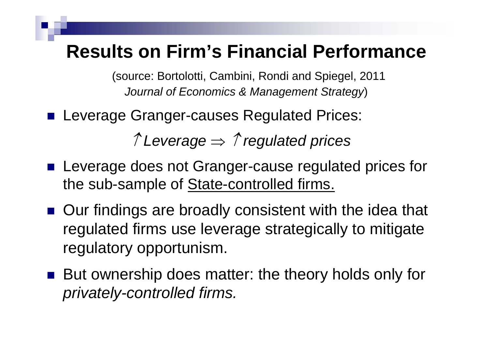#### **Results on Firm's Financial Performance**

(source: Bortolotti, Cambini, Rondi and Spiegel, 2011 *Journal of Economics & Management Strategy*)

**Leverage Granger-causes Regulated Prices:** 

↑ *Leverage* ⇒ ↑ *regulated prices*

- **Leverage does not Granger-cause regulated prices for** the sub-sample of State-controlled firms.
- Our findings are broadly consistent with the idea that regulated firms use leverage strategically to mitigate regulatory opportunism.
- But ownership does matter: the theory holds only for *privately-controlled firms.*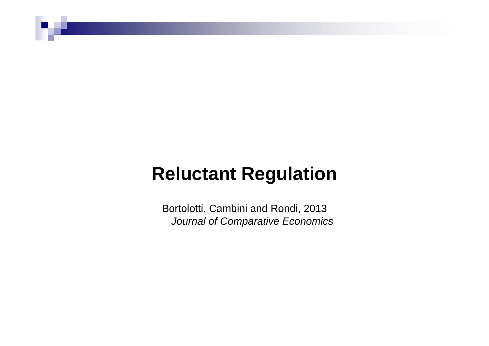#### **Reluctant Regulation**

Bortolotti, Cambini and Rondi, 2013 *Journal of Comparative Economics*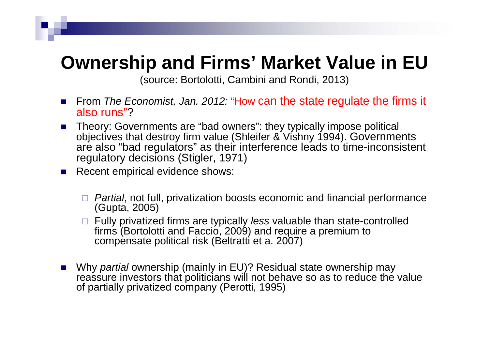#### **Ownership and Firms' Market Value in EU**

(source: Bortolotti, Cambini and Rondi, 2013)

- From *The Economist, Jan. 2012:* "How can the state regulate the firms it also runs"?
- Theory: Governments are "bad owners": they typically impose political objectives that destroy firm value (Shleifer & Vishny 1994). Governments are also "bad regulators" as their interference leads to time-inconsistent regulatory decisions (Stigler, 1971)
- **Recent empirical evidence shows:** 
	- *Partial*, not full, privatization boosts economic and financial performance (Gupta, 2005)
	- Fully privatized firms are typically *less* valuable than state-controlled firms (Bortolotti and Faccio, 2009) and require a premium to compensate political risk (Beltratti et a. 2007)
- Why *partial* ownership (mainly in EU)? Residual state ownership may reassure investors that politicians will not behave so as to reduce the value of partially privatized company (Perotti, 1995)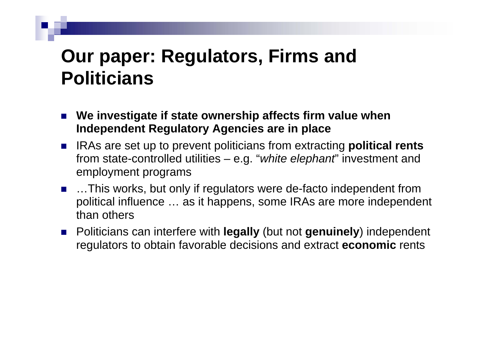#### **Our paper: Regulators, Firms and Politicians**

- **We investigate if state ownership affects firm value when Independent Regulatory Agencies are in place**
- IRAs are set up to prevent politicians from extracting **political rents** from state-controlled utilities – e.g. "*white elephant*" investment and employment programs
- …This works, but only if regulators were de-facto independent from political influence … as it happens, some IRAs are more independent than others
- Politicians can interfere with **legally** (but not **genuinely**) independent regulators to obtain favorable decisions and extract **economic** rents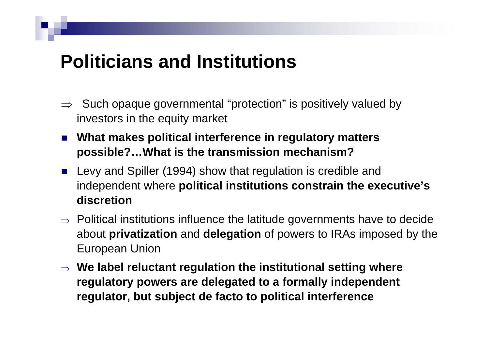#### **Politicians and Institutions**

- $\Rightarrow$  Such opaque governmental "protection" is positively valued by investors in the equity market
- What makes political interference in regulatory matters **possible?…What is the transmission mechanism?**
- **Levy and Spiller (1994) show that regulation is credible and** independent where **political institutions constrain the executive's discretion**
- $\Rightarrow$  Political institutions influence the latitude governments have to decide about **privatization** and **delegation** of powers to IRAs imposed by the European Union
- ⇒ **We label reluctant regulation the institutional setting where regulatory powers are delegated to a formally independent regulator, but subject de facto to political interference**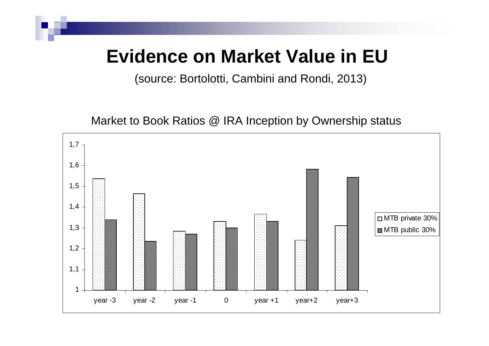#### **Evidence on Market Value in EU**

(source: Bortolotti, Cambini and Rondi, 2013)

Market to Book Ratios @ IRA Inception by Ownership status

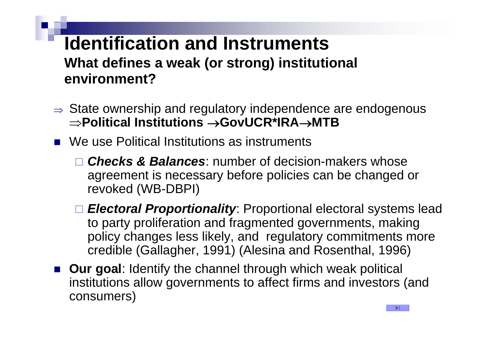#### **Identification and InstrumentsWhat defines a weak (or strong) institutional environment?**

- $\Rightarrow$  State ownership and regulatory independence are endogenous  $\Rightarrow$  Political Institutions  $\rightarrow$  GovUCR\*IRA $\rightarrow$ MTB
- We use Political Institutions as instruments
	- *Checks & Balances*: number of decision-makers whose agreement is necessary before policies can be changed or revoked (WB-DBPI)
	- *Electoral Proportionality*: Proportional electoral systems lead to party proliferation and fragmented governments, making policy changes less likely, and regulatory commitments more credible (Gallagher, 1991) (Alesina and Rosenthal, 1996)
- **Dur goal:** Identify the channel through which weak political institutions allow governments to affect firms and investors (and consumers)

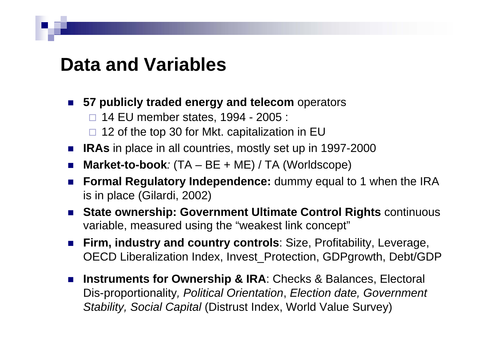#### **Data and Variables**

- **57 publicly traded energy and telecom** operators
	- □ 14 EU member states, 1994 2005 :
	- $\square$  12 of the top 30 for Mkt. capitalization in EU
- IRAs in place in all countries, mostly set up in 1997-2000
- **Market-to-book***:* (TA BE + ME) / TA (Worldscope)
- П **Formal Regulatory Independence:** dummy equal to 1 when the IRA is in place (Gilardi, 2002)
- P. **State ownership: Government Ultimate Control Rights** continuous variable, measured using the "weakest link concept"
- $\mathcal{L}^{\text{max}}$  **Firm, industry and country controls**: Size, Profitability, Leverage, OECD Liberalization Index, Invest\_Protection, GDPgrowth, Debt/GDP
- $\mathcal{L}(\mathcal{A})$ **Instruments for Ownership & IRA: Checks & Balances, Electoral** Dis-proportionality*, Political Orientation*, *Election date, Government Stability, Social Capital* (Distrust Index, World Value Survey)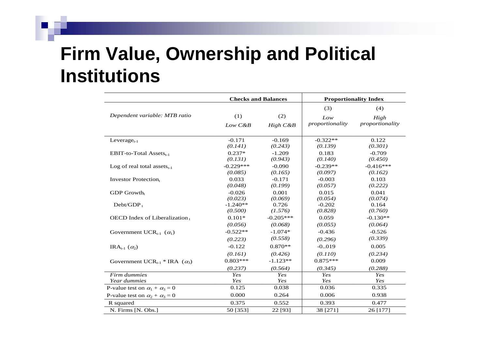### **Firm Value, Ownership and Political Institutions**

|                                                  | <b>Checks and Balances</b>       |                                  |                                  | <b>Proportionality Index</b>   |
|--------------------------------------------------|----------------------------------|----------------------------------|----------------------------------|--------------------------------|
| Dependent variable: MTB ratio                    | (1)<br>$Low\ C\&B$               | (2)<br>High C&B                  | (3)<br>Low<br>proportionality    | (4)<br>High<br>proportionality |
| Leverage <sub>t-1</sub>                          | $-0.171$                         | $-0.169$                         | $-0.322**$                       | 0.122                          |
| EBIT-to-Total Assets $_{t-1}$                    | (0.141)<br>$0.237*$<br>(0.131)   | (0.243)<br>$-1.209$<br>(0.943)   | (0.139)<br>0.183<br>(0.140)      | (0.301)<br>$-0.709$<br>(0.450) |
| Log of real total assets $_{t-1}$                | $-0.229***$<br>(0.085)           | $-0.090$<br>(0.165)              | $-0.239**$<br>(0.097)            | $-0.416***$<br>(0.162)         |
| <b>Investor Protection</b> t                     | 0.033<br>(0.048)                 | $-0.171$<br>(0.199)              | $-0.003$<br>(0.057)              | 0.103<br>(0.222)               |
| $GDP$ Growth                                     | $-0.026$<br>(0.023)              | 0.001<br>(0.069)                 | 0.015<br>(0.054)                 | 0.041<br>(0.074)               |
| $Debt/GDP_t$                                     | $-1.240**$<br>(0.500)            | 0.726<br>(1.576)                 | $-0.202$<br>(0.828)              | 0.164<br>(0.760)               |
| OECD Index of Liberalization,                    | $0.101*$<br>(0.056)              | $-0.205***$<br>(0.068)           | 0.059<br>(0.055)                 | $-0.130**$<br>(0.064)          |
| Government UCR <sub>t-1</sub> $(\alpha_1)$       | $-0.522**$<br>(0.223)            | $-1.074*$<br>(0.558)             | $-0.436$<br>(0.296)              | $-0.526$<br>(0.339)            |
| IRA <sub>t-1</sub> $(\alpha_2)$                  | $-0.122$                         | $0.870**$                        | $-0.019$                         | 0.005                          |
| Government UCR <sub>t-1</sub> * IRA $(\alpha_3)$ | (0.161)<br>$0.803***$<br>(0.237) | (0.426)<br>$-1.123**$<br>(0.564) | (0.110)<br>$0.875***$<br>(0.345) | (0.234)<br>0.009<br>(0.288)    |
| Firm dummies                                     | Yes                              | Yes                              | Yes                              | Yes                            |
| Year dummies                                     | Yes                              | Yes                              | Yes                              | Yes                            |
| P-value test on $\alpha_1 + \alpha_3 = 0$        | 0.125                            | 0.038                            | 0.036                            | 0.335                          |
| P-value test on $\alpha_2 + \alpha_3 = 0$        | 0.000                            | 0.264                            | 0.006                            | 0.938                          |
| R squared                                        | 0.375                            | 0.552                            | 0.393                            | 0.477                          |
| N. Firms [N. Obs.]                               | 50 [353]                         | 22 [93]                          | 38 [271]                         | 26 [177]                       |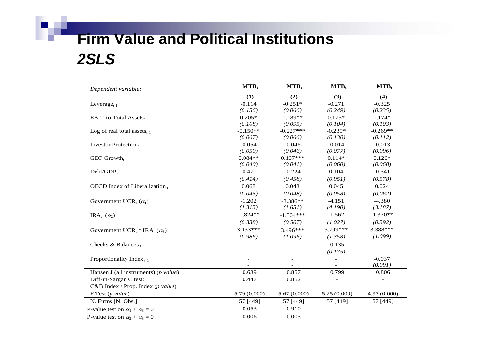#### **Firm Value and Political Institutions** *2SLS*

**I** 

| Dependent variable:                            | $MTB_t$      | $MTB_t$     | $MTB_t$                  | $MTB_t$      |
|------------------------------------------------|--------------|-------------|--------------------------|--------------|
|                                                | (1)          | (2)         | (3)                      | (4)          |
| Leverage <sub>t-1</sub>                        | $-0.114$     | $-0.251*$   | $-0.271$                 | $-0.325$     |
|                                                | (0.156)      | (0.066)     | (0.249)                  | (0.235)      |
| EBIT-to-Total Assets $_{t-1}$                  | $0.205*$     | $0.189**$   | $0.175*$                 | $0.174*$     |
|                                                | (0.108)      | (0.095)     | (0.104)                  | (0.103)      |
| Log of real total assets $_{t-1}$              | $-0.150**$   | $-0.227***$ | $-0.239*$                | $-0.269**$   |
|                                                | (0.067)      | (0.066)     | (0.130)                  | (0.112)      |
| <b>Investor Protection</b> t                   | $-0.054$     | $-0.046$    | $-0.014$                 | $-0.013$     |
|                                                | (0.050)      | (0.046)     | (0.077)                  | (0.096)      |
| $GDP$ Growth <sub>t</sub>                      | $0.084**$    | $0.107***$  | $0.114*$                 | $0.126*$     |
|                                                | (0.040)      | (0.041)     | (0.060)                  | (0.068)      |
| $Debt/GDP_t$                                   | $-0.470$     | $-0.224$    | 0.104                    | $-0.341$     |
|                                                | (0.414)      | (0.458)     | (0.951)                  | (0.578)      |
| OECD Index of Liberalization,                  | 0.068        | 0.043       | 0.045                    | 0.024        |
|                                                | (0.045)      | (0.048)     | (0.058)                  | (0.062)      |
| Government UCR <sub>t</sub> $(\alpha_1)$       | $-1.202$     | $-3.386**$  | $-4.151$                 | $-4.380$     |
|                                                | (1.315)      | (1.651)     | (4.190)                  | (3.187)      |
| IRA <sub>t</sub> $(\alpha_2)$                  | $-0.824**$   | $-1.304***$ | $-1.562$                 | $-1.370**$   |
|                                                | (0.338)      | (0.507)     | (1.027)                  | (0.592)      |
| Government UCR <sub>t</sub> * IRA $(\alpha_3)$ | $3.133***$   | 3.496***    | 3.799***                 | 3.388***     |
|                                                | (0.986)      | (1.096)     | (1.358)                  | (1.099)      |
| Checks & Balances $_{t-1}$                     |              |             | $-0.135$                 |              |
|                                                |              |             | (0.175)                  |              |
| Proportionality Index $_{t-1}$                 |              |             | $\overline{\phantom{a}}$ | $-0.037$     |
|                                                |              |             |                          | (0.091)      |
| Hansen J (all instruments) ( $p$ value)        | 0.639        | 0.857       | 0.799                    | 0.806        |
| Diff-in-Sargan C test:                         | 0.447        | 0.852       |                          |              |
| C&B Index / Prop. Index (p value)              |              |             |                          |              |
| $F$ Test (p value)                             | 5.79 (0.000) | 5.67(0.000) | 5.25(0.000)              | 4.97 (0.000) |
| N. Firms [N. Obs.]                             | 57 [449]     | 57 [449]    | 57 [449]                 | 57 [449]     |
| P-value test on $\alpha_1 + \alpha_3 = 0$      | 0.053        | 0.910       |                          |              |
| P-value test on $\alpha_2 + \alpha_3 = 0$      | 0.006        | 0.005       |                          |              |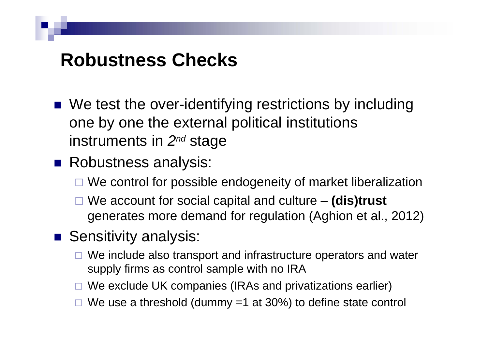#### **Robustness Checks**

- We test the over-identifying restrictions by including one by one the external political institutions instruments in *2nd* stage
- **Robustness analysis:** 
	- □ We control for possible endogeneity of market liberalization
	- We account for social capital and culture **(dis)trust** generates more demand for regulation (Aghion et al., 2012)
- **Sensitivity analysis:** 
	- □ We include also transport and infrastructure operators and water supply firms as control sample with no IRA
	- □ We exclude UK companies (IRAs and privatizations earlier)
	- $\Box$  We use a threshold (dummy =1 at 30%) to define state control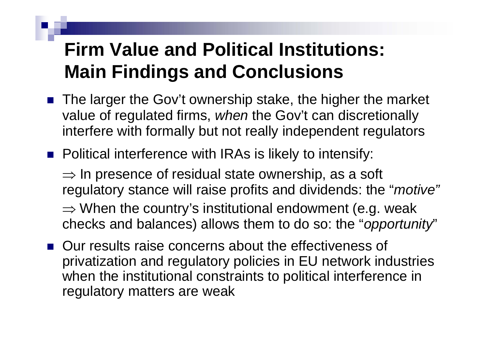## **Firm Value and Political Institutions: Main Findings and Conclusions**

- The larger the Gov't ownership stake, the higher the market value of regulated firms, *when* the Gov't can discretionally interfere with formally but not really independent regulators
- **Political interference with IRAs is likely to intensify:**

 $\Rightarrow$  In presence of residual state ownership, as a soft regulatory stance will raise profits and dividends: the "*motive"*  $\Rightarrow$  When the country's institutional endowment (e.g. weak checks and balances) allows them to do so: the "*opportunity*"

**Our results raise concerns about the effectiveness of** privatization and regulatory policies in EU network industries when the institutional constraints to political interference in regulatory matters are weak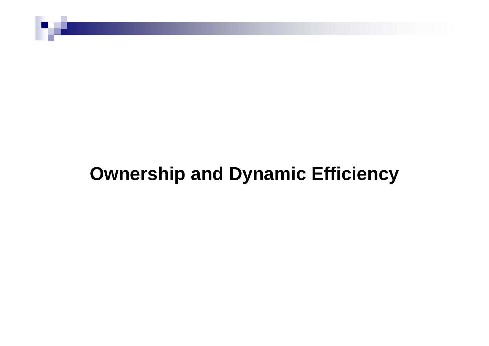#### **Ownership and Dynamic Efficiency**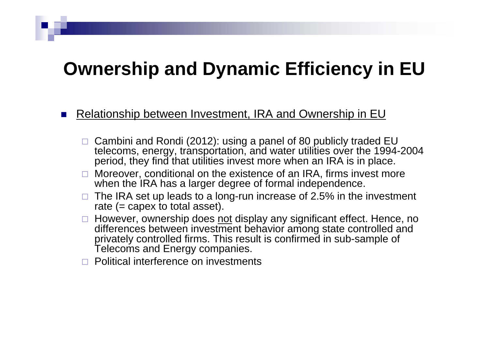#### **Ownership and Dynamic Efficiency in EU**

#### П Relationship between Investment, IRA and Ownership in EU

- □ Cambini and Rondi (2012): using a panel of 80 publicly traded EU telecoms, energy, transportation, and water utilities over the 1994-2004 period, they find that utilities invest more when an IRA is in place.
- $\Box$  Moreover, conditional on the existence of an IRA, firms invest more when the IRA has a larger degree of formal independence.
- $\Box$  The IRA set up leads to a long-run increase of 2.5% in the investment rate  $(= \text{capex to total asset}).$
- □ However, ownership does not display any significant effect. Hence, no differences between investment behavior among state controlled and privately controlled firms. This result is confirmed in sub-sample of Telecoms and Energy companies.
- П Political interference on investments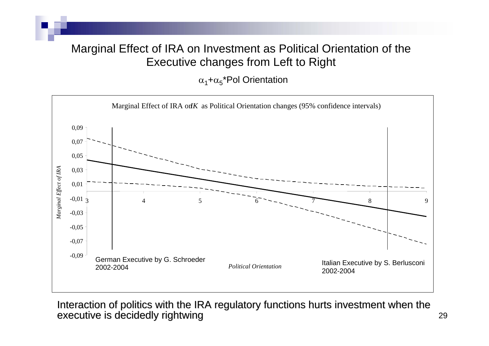#### Marginal Effect of IRA on Investment as Political Orientation of the Executive changes from Left to Right

 $\alpha_{1}$ + $\alpha_{5}$ \*Pol Orientation



Interaction of politics with the IRA regulatory functions hurts investment when the executive is decidedly rightwing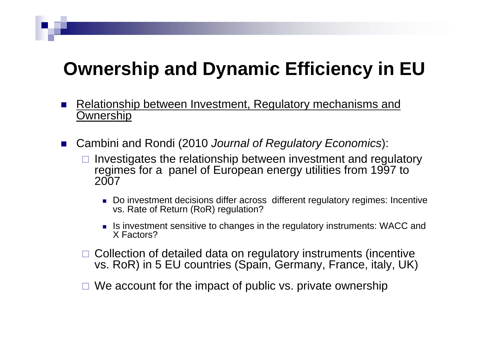### **Ownership and Dynamic Efficiency in EU**

- F. Relationship between Investment, Regulatory mechanisms and Ownership
- $\mathcal{L}_{\rm{max}}$  Cambini and Rondi (2010 *Journal of Regulatory Economics*):
	- $\Box$  Investigates the relationship between investment and regulatory regimes for a panel of European energy utilities from 1997 to 2007
		- Do investment decisions differ across different regulatory regimes: Incentive vs. Rate of Return (RoR) regulation?
		- **If is investment sensitive to changes in the regulatory instruments: WACC and** X Factors?
	- □ Collection of detailed data on regulatory instruments (incentive vs. RoR) in 5 EU countries (Spain, Germany, France, italy, UK)
	- $\Box$ We account for the impact of public vs. private ownership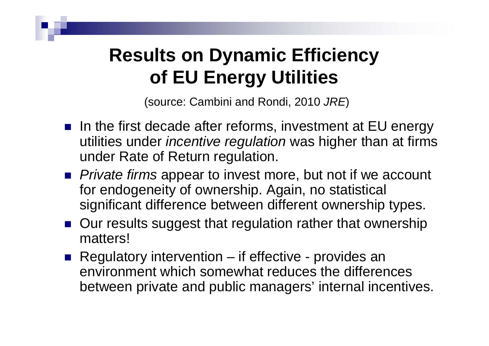## **Results on Dynamic Efficiency of EU Energy Utilities**

(source: Cambini and Rondi, 2010 *JRE*)

- In the first decade after reforms, investment at EU energy utilities under *incentive regulation* was higher than at firms under Rate of Return regulation.
- *Private firms* appear to invest more, but not if we account for endogeneity of ownership. Again, no statistical significant difference between different ownership types.
- Our results suggest that regulation rather that ownership matters!
- Regulatory intervention if effective provides an environment which somewhat reduces the differencesbetween private and public managers' internal incentives.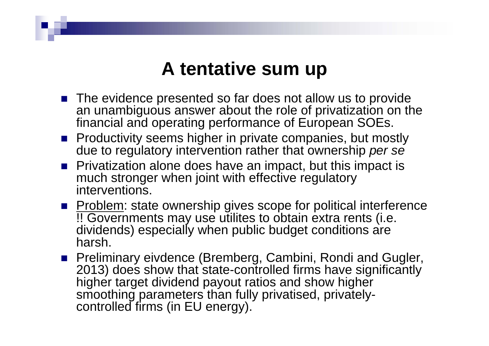#### **A tentative sum up**

- **The evidence presented so far does not allow us to provide** an unambiguous answer about the role of privatization on the financial and operating performance of European SOEs.
- **Productivity seems higher in private companies, but mostly** due to regulatory intervention rather that ownership *per se*
- **Privatization alone does have an impact, but this impact is** much stronger when joint with effective regulatory interventions.
- **Problem:** state ownership gives scope for political interference !! Governments may use utilites to obtain extra rents (i.e. dividends) especially when public budget conditions are harsh.
- **Preliminary eivdence (Bremberg, Cambini, Rondi and Gugler,** 2013) does show that state-controlled firms have significantly higher target dividend payout ratios and show higher smoothing parameters than fully privatised, privatelycontrolled firms (in EU energy).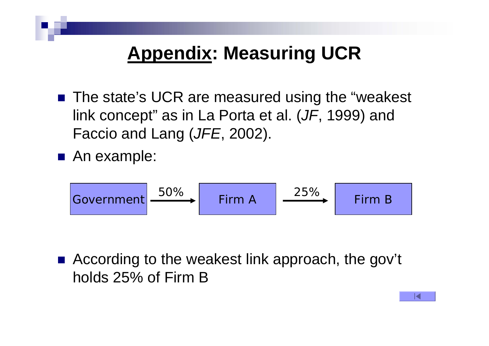## **Appendix: Measuring UCR**

■ The state's UCR are measured using the "weakest link concept" as in La Porta et al. (*JF*, 1999) and Faccio and Lang (*JFE*, 2002).

■ An example:

$$
\begin{array}{|c|c|c|c|c|}\n\hline\n\text{Government} & 50\% & \text{Firm A} & \xrightarrow{25\%} & \text{Firm B} \\
\hline\n\end{array}
$$

■ According to the weakest link approach, the gov't holds 25% of Firm B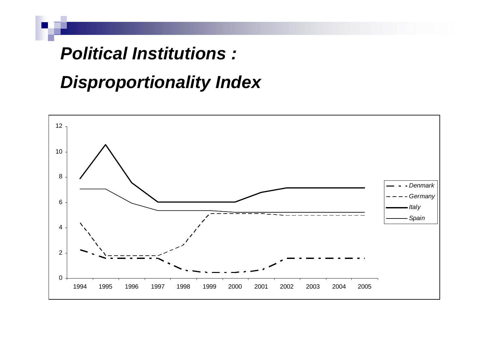#### *Political Institutions :*

#### *Disproportionality Index*

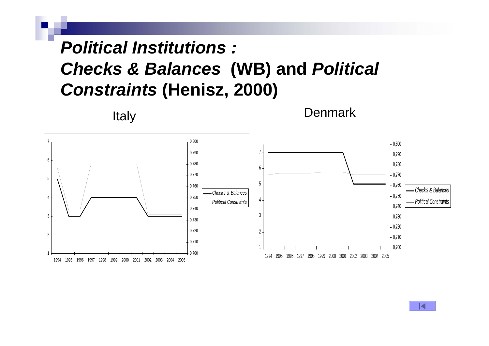#### *Political Institutions : Checks & Balances* **(WB) and** *Political Constraints* **(Henisz, 2000)**



K